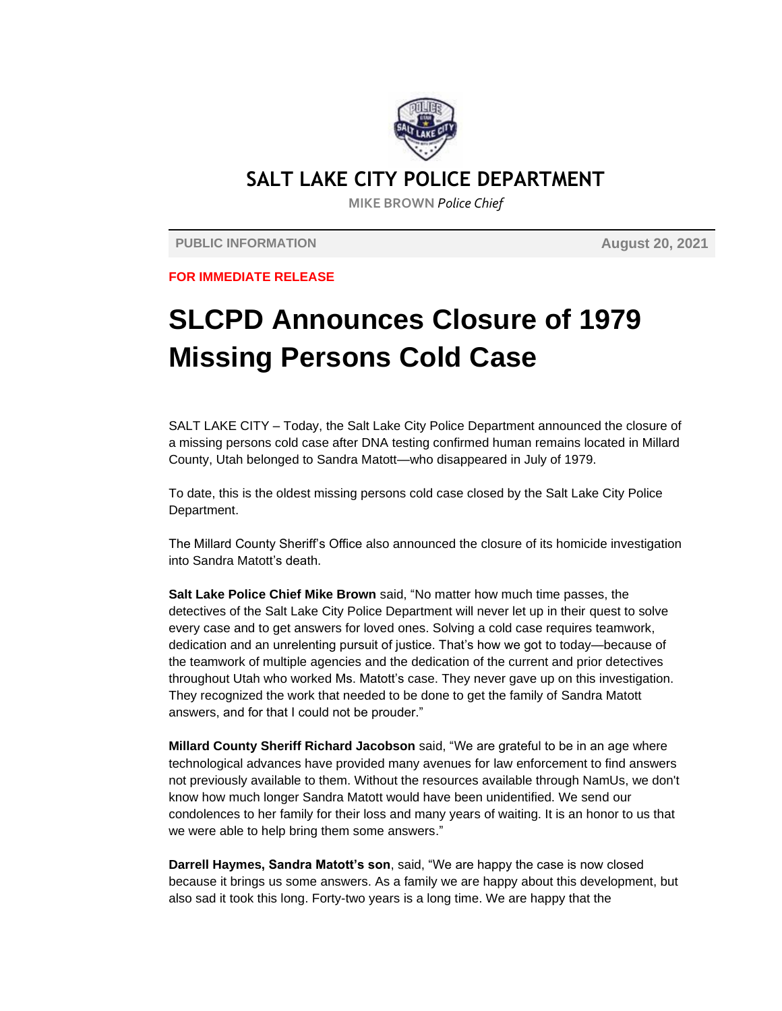

## **SALT LAKE CITY POLICE DEPARTMENT**

**MIKE BROWN** *Police Chief*

**PUBLIC INFORMATION August 20, 2021**

**FOR IMMEDIATE RELEASE**

## **SLCPD Announces Closure of 1979 Missing Persons Cold Case**

SALT LAKE CITY – Today, the Salt Lake City Police Department announced the closure of a missing persons cold case after DNA testing confirmed human remains located in Millard County, Utah belonged to Sandra Matott—who disappeared in July of 1979.

To date, this is the oldest missing persons cold case closed by the Salt Lake City Police Department.

The Millard County Sheriff's Office also announced the closure of its homicide investigation into Sandra Matott's death.

**Salt Lake Police Chief Mike Brown** said, "No matter how much time passes, the detectives of the Salt Lake City Police Department will never let up in their quest to solve every case and to get answers for loved ones. Solving a cold case requires teamwork, dedication and an unrelenting pursuit of justice. That's how we got to today—because of the teamwork of multiple agencies and the dedication of the current and prior detectives throughout Utah who worked Ms. Matott's case. They never gave up on this investigation. They recognized the work that needed to be done to get the family of Sandra Matott answers, and for that I could not be prouder."

**Millard County Sheriff Richard Jacobson** said, "We are grateful to be in an age where technological advances have provided many avenues for law enforcement to find answers not previously available to them. Without the resources available through NamUs, we don't know how much longer Sandra Matott would have been unidentified. We send our condolences to her family for their loss and many years of waiting. It is an honor to us that we were able to help bring them some answers."

**Darrell Haymes, Sandra Matott's son**, said, "We are happy the case is now closed because it brings us some answers. As a family we are happy about this development, but also sad it took this long. Forty-two years is a long time. We are happy that the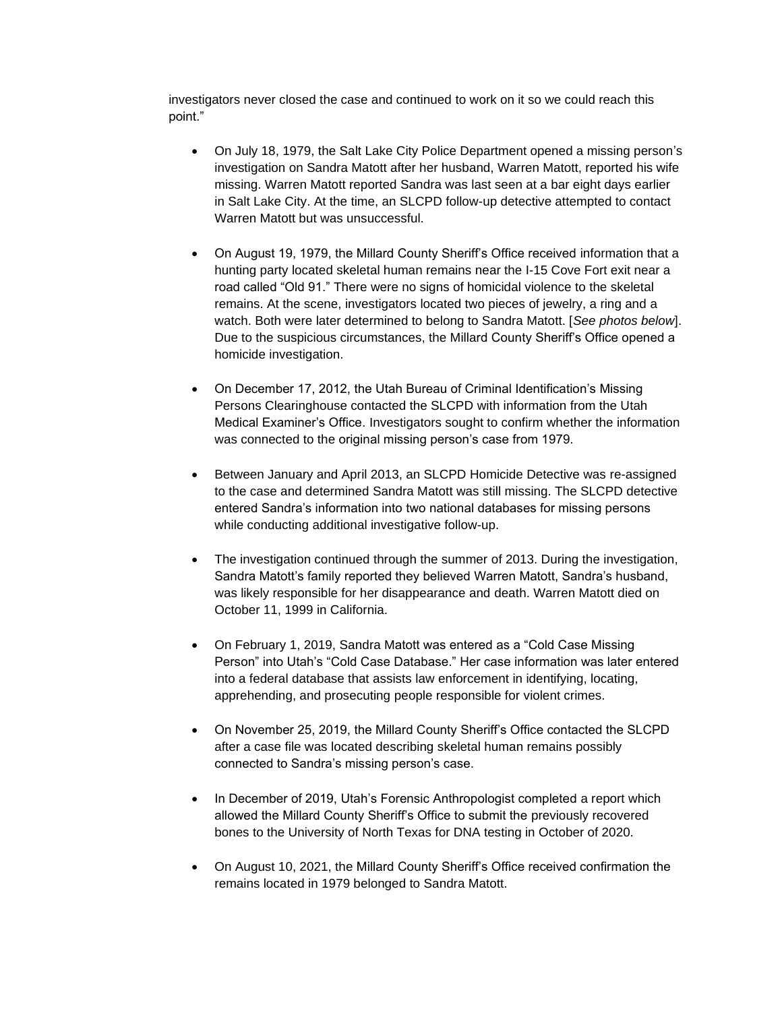investigators never closed the case and continued to work on it so we could reach this point."

- On July 18, 1979, the Salt Lake City Police Department opened a missing person's investigation on Sandra Matott after her husband, Warren Matott, reported his wife missing. Warren Matott reported Sandra was last seen at a bar eight days earlier in Salt Lake City. At the time, an SLCPD follow-up detective attempted to contact Warren Matott but was unsuccessful.
- On August 19, 1979, the Millard County Sheriff's Office received information that a hunting party located skeletal human remains near the I-15 Cove Fort exit near a road called "Old 91." There were no signs of homicidal violence to the skeletal remains. At the scene, investigators located two pieces of jewelry, a ring and a watch. Both were later determined to belong to Sandra Matott. [*See photos below*]. Due to the suspicious circumstances, the Millard County Sheriff's Office opened a homicide investigation.
- On December 17, 2012, the Utah Bureau of Criminal Identification's Missing Persons Clearinghouse contacted the SLCPD with information from the Utah Medical Examiner's Office. Investigators sought to confirm whether the information was connected to the original missing person's case from 1979.
- Between January and April 2013, an SLCPD Homicide Detective was re-assigned to the case and determined Sandra Matott was still missing. The SLCPD detective entered Sandra's information into two national databases for missing persons while conducting additional investigative follow-up.
- The investigation continued through the summer of 2013. During the investigation, Sandra Matott's family reported they believed Warren Matott, Sandra's husband, was likely responsible for her disappearance and death. Warren Matott died on October 11, 1999 in California.
- On February 1, 2019, Sandra Matott was entered as a "Cold Case Missing Person" into Utah's "Cold Case Database." Her case information was later entered into a federal database that assists law enforcement in identifying, locating, apprehending, and prosecuting people responsible for violent crimes.
- On November 25, 2019, the Millard County Sheriff's Office contacted the SLCPD after a case file was located describing skeletal human remains possibly connected to Sandra's missing person's case.
- In December of 2019, Utah's Forensic Anthropologist completed a report which allowed the Millard County Sheriff's Office to submit the previously recovered bones to the University of North Texas for DNA testing in October of 2020.
- On August 10, 2021, the Millard County Sheriff's Office received confirmation the remains located in 1979 belonged to Sandra Matott.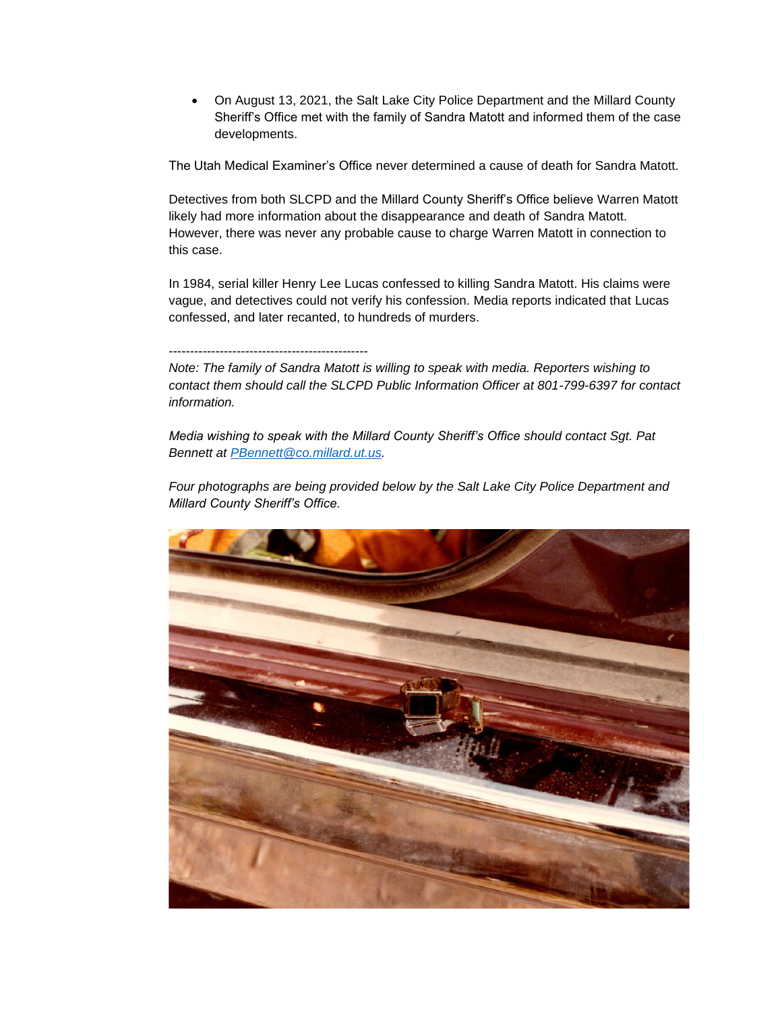• On August 13, 2021, the Salt Lake City Police Department and the Millard County Sheriff's Office met with the family of Sandra Matott and informed them of the case developments.

The Utah Medical Examiner's Office never determined a cause of death for Sandra Matott.

Detectives from both SLCPD and the Millard County Sheriff's Office believe Warren Matott likely had more information about the disappearance and death of Sandra Matott. However, there was never any probable cause to charge Warren Matott in connection to this case.

In 1984, serial killer Henry Lee Lucas confessed to killing Sandra Matott. His claims were vague, and detectives could not verify his confession. Media reports indicated that Lucas confessed, and later recanted, to hundreds of murders.

## -----------------------------------------------

*Note: The family of Sandra Matott is willing to speak with media. Reporters wishing to contact them should call the SLCPD Public Information Officer at 801-799-6397 for contact information.* 

*Media wishing to speak with the Millard County Sheriff's Office should contact Sgt. Pat Bennett at [PBennett@co.millard.ut.us.](mailto:PBennett@co.millard.ut.us)* 

*Four photographs are being provided below by the Salt Lake City Police Department and Millard County Sheriff's Office.* 

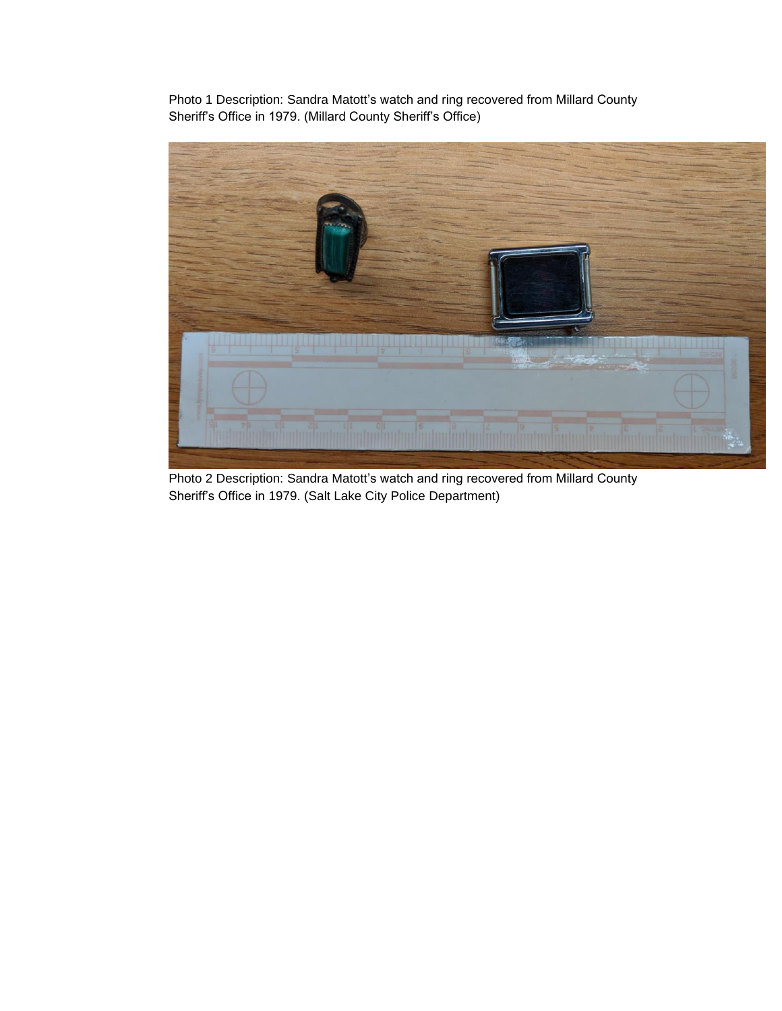Photo 1 Description: Sandra Matott's watch and ring recovered from Millard County Sheriff's Office in 1979. (Millard County Sheriff's Office)



Photo 2 Description: Sandra Matott's watch and ring recovered from Millard County Sheriff's Office in 1979. (Salt Lake City Police Department)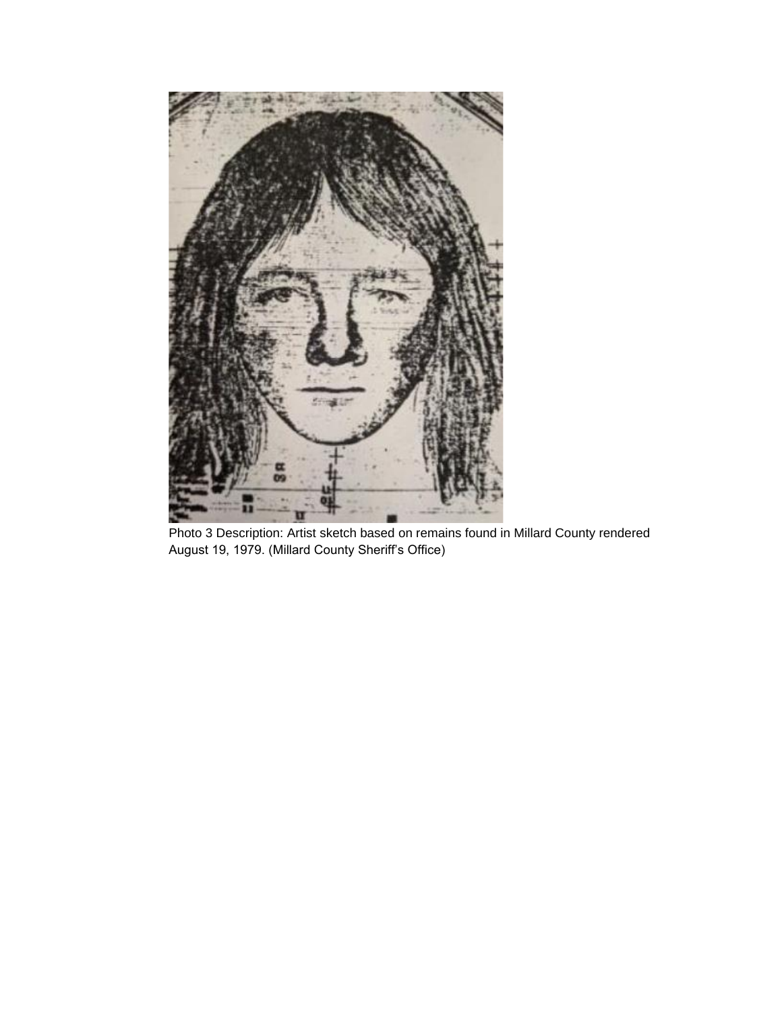

Photo 3 Description: Artist sketch based on remains found in Millard County rendered August 19, 1979. (Millard County Sheriff's Office)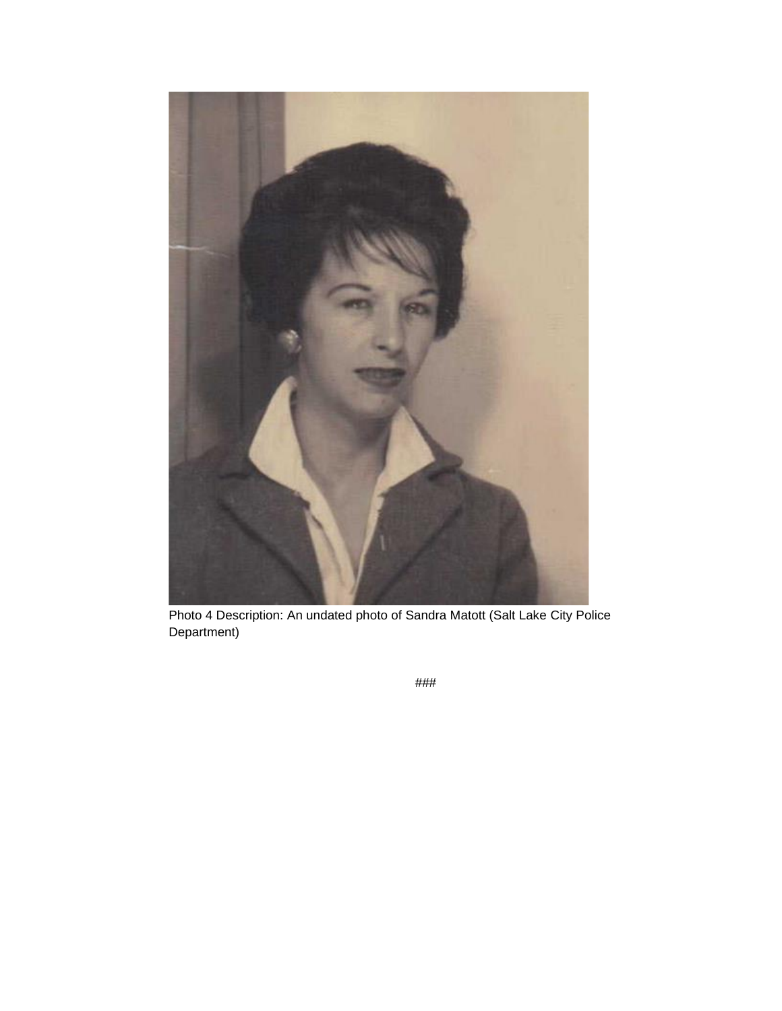

Photo 4 Description: An undated photo of Sandra Matott (Salt Lake City Police Department)

*###*